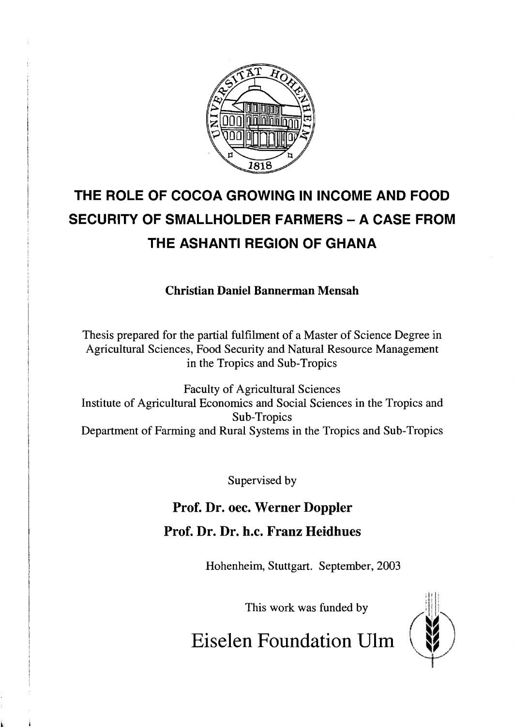

## **THE ROLE OF COCOA GROWING IN INCOME AND FOOD SECURITY OF SMALLHOLDER FARMERS - A CASE FROM THE ASHANTI REGION OF GHANA**

**Christian Daniel Bannerman Mensah** 

Thesis prepared for the partial fulfilment of a Master of Science Degree in Agricultural Sciences, Food Security and Natural Resource Management in the Tropics and Sub-Tropics

Faculty of Agricultural Sciences Institute of Agricultural Economies and Social Sciences in the Tropics and Sub-Tropics Department of Farming and Rural Systems in the Tropics and Sub-Tropics

Supervised by

## **Prof. Dr. oec. Werner Doppler**

## **Prof. Dr. Dr. h.c. Franz Heidhues**

Hohenheim, Stuttgart. September, 2003

This work was funded by



**Eiselen Foundation Uirn**